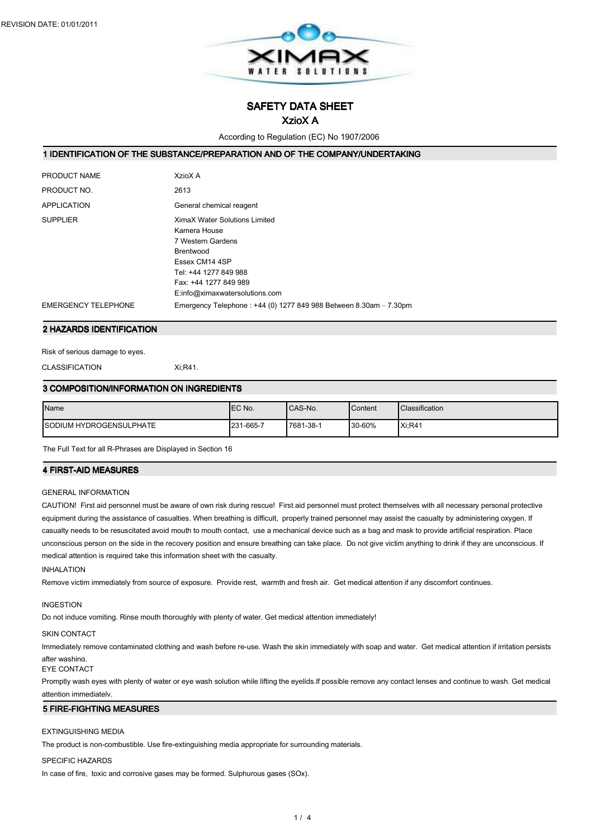

SAFETY DATA SHEET

# XzioX A

According to Regulation (EC) No 1907/2006

## 1 IDENTIFICATION OF THE SUBSTANCE/PREPARATION AND OF THE COMPANY/UNDERTAKING

| PRODUCT NAME               | XzioX A                                                                                                                                                                                      |
|----------------------------|----------------------------------------------------------------------------------------------------------------------------------------------------------------------------------------------|
| PRODUCT NO.                | 2613                                                                                                                                                                                         |
| <b>APPLICATION</b>         | General chemical reagent                                                                                                                                                                     |
| <b>SUPPLIER</b>            | <b>XimaX Water Solutions Limited</b><br>Kamera House<br>7 Western Gardens<br>Brentwood<br>Essex CM14 4SP<br>Tel: +44 1277 849 988<br>Fax: +44 1277 849 989<br>E:info@ximaxwatersolutions.com |
| <b>EMERGENCY TELEPHONE</b> | Emergency Telephone: +44 (0) 1277 849 988 Between 8.30am - 7.30pm                                                                                                                            |

#### 2 HAZARDS IDENTIFICATION

Risk of serious damage to eyes.

CLASSIFICATION Xi;R41.

### 3 COMPOSITION/INFORMATION ON INGREDIENTS

| Name                            | <b>IEC No.</b> | CAS-No.   | Content | <b>Classification</b> |
|---------------------------------|----------------|-----------|---------|-----------------------|
| <b>ISODIUM HYDROGENSULPHATE</b> | 231-665-7      | 7681-38-1 | 30-60%  | Xi:R41                |

The Full Text for all R-Phrases are Displayed in Section 16

#### **4 FIRST-AID MEASURES**

### GENERAL INFORMATION

CAUTION! First aid personnel must be aware of own risk during rescue! First aid personnel must protect themselves with all necessary personal protective equipment during the assistance of casualties. When breathing is difficult, properly trained personnel may assist the casualty by administering oxygen. If casualty needs to be resuscitated avoid mouth to mouth contact, use a mechanical device such as a bag and mask to provide artificial respiration. Place unconscious person on the side in the recovery position and ensure breathing can take place. Do not give victim anything to drink if they are unconscious. If medical attention is required take this information sheet with the casualty.

### INHALATION

Remove victim immediately from source of exposure. Provide rest, warmth and fresh air. Get medical attention if any discomfort continues.

### INGESTION

Do not induce vomiting. Rinse mouth thoroughly with plenty of water. Get medical attention immediately!

#### SKIN CONTACT

Immediately remove contaminated clothing and wash before re-use. Wash the skin immediately with soap and water. Get medical attention if irritation persists after washing.

### EYE CONTACT

Promptly wash eyes with plenty of water or eye wash solution while lifting the eyelids.If possible remove any contact lenses and continue to wash. Get medical attention immediately.

#### **5 FIRE-FIGHTING MEASURES**

#### EXTINGUISHING MEDIA

The product is non-combustible. Use fire-extinguishing media appropriate for surrounding materials.

### SPECIFIC HAZARDS

In case of fire, toxic and corrosive gases may be formed. Sulphurous gases (SOx).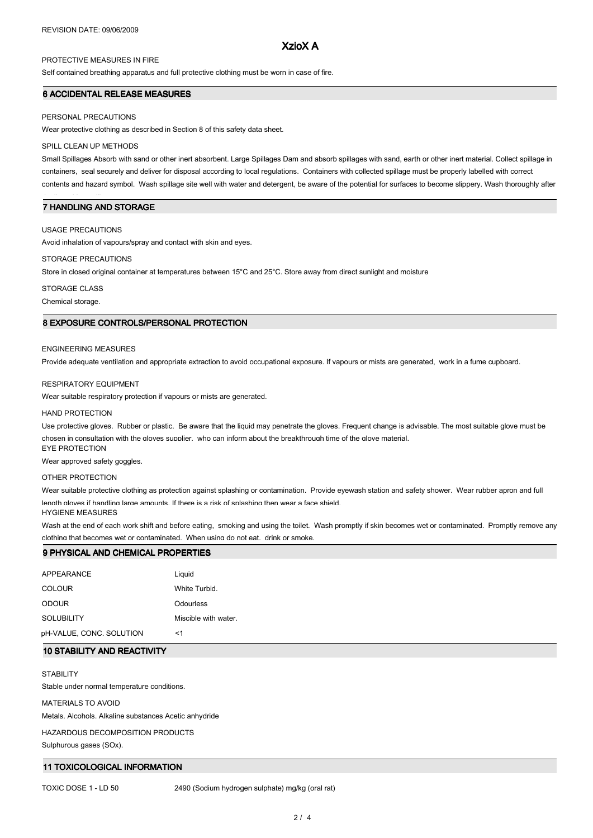## XzioX A

## PROTECTIVE MEASURES IN FIRE

Self contained breathing apparatus and full protective clothing must be worn in case of fire.

### 6 ACCIDENTAL RELEASE MEASURES

#### PERSONAL PRECAUTIONS

Wear protective clothing as described in Section 8 of this safety data sheet.

### SPILL CLEAN UP METHODS

Small Spillages Absorb with sand or other inert absorbent. Large Spillages Dam and absorb spillages with sand, earth or other inert material. Collect spillage in containers, seal securely and deliver for disposal according to local regulations. Containers with collected spillage must be properly labelled with correct contents and hazard symbol. Wash spillage site well with water and detergent, be aware of the potential for surfaces to become slippery. Wash thoroughly after

## 7 HANDLING AND STORAGE

### USAGE PRECAUTIONS

dealing with a spillage.

Avoid inhalation of vapours/spray and contact with skin and eyes.

### STORAGE PRECAUTIONS

Store in closed original container at temperatures between 15°C and 25°C. Store away from direct sunlight and moisture

### STORAGE CLASS

Chemical storage.

## 8 EXPOSURE CONTROLS/PERSONAL PROTECTION

#### ENGINEERING MEASURES

Provide adequate ventilation and appropriate extraction to avoid occupational exposure. If vapours or mists are generated, work in a fume cupboard.

#### RESPIRATORY EQUIPMENT

Wear suitable respiratory protection if vapours or mists are generated.

#### HAND PROTECTION

Use protective gloves. Rubber or plastic. Be aware that the liquid may penetrate the gloves. Frequent change is advisable. The most suitable glove must be chosen in consultation with the gloves supplier, who can inform about the breakthrough time of the glove material. EYE PROTECTION

Wear approved safety goggles.

### OTHER PROTECTION

Wear suitable protective clothing as protection against splashing or contamination. Provide eyewash station and safety shower. Wear rubber apron and full length gloves if handling large amounts. If there is a risk of splashing then wear a face shield

#### HYGIENE MEASURES

Wash at the end of each work shift and before eating, smoking and using the toilet. Wash promptly if skin becomes wet or contaminated. Promptly remove any clothing that becomes wet or contaminated. When using do not eat, drink or smoke.

#### 9 PHYSICAL AND CHEMICAL PROPERTIES

| APPEARANCE               | Liguid               |
|--------------------------|----------------------|
| <b>COLOUR</b>            | White Turbid.        |
| <b>ODOUR</b>             | Odourless            |
| <b>SOLUBILITY</b>        | Miscible with water. |
| pH-VALUE, CONC. SOLUTION | <1                   |

## 10 STABILITY AND REACTIVITY

**STABILITY** 

Stable under normal temperature conditions.

### MATERIALS TO AVOID

Metals. Alcohols. Alkaline substances Acetic anhydride

HAZARDOUS DECOMPOSITION PRODUCTS

Sulphurous gases (SOx).

## 11 TOXICOLOGICAL INFORMATION

TOXIC DOSE 1 - LD 50 2490 (Sodium hydrogen sulphate) mg/kg (oral rat)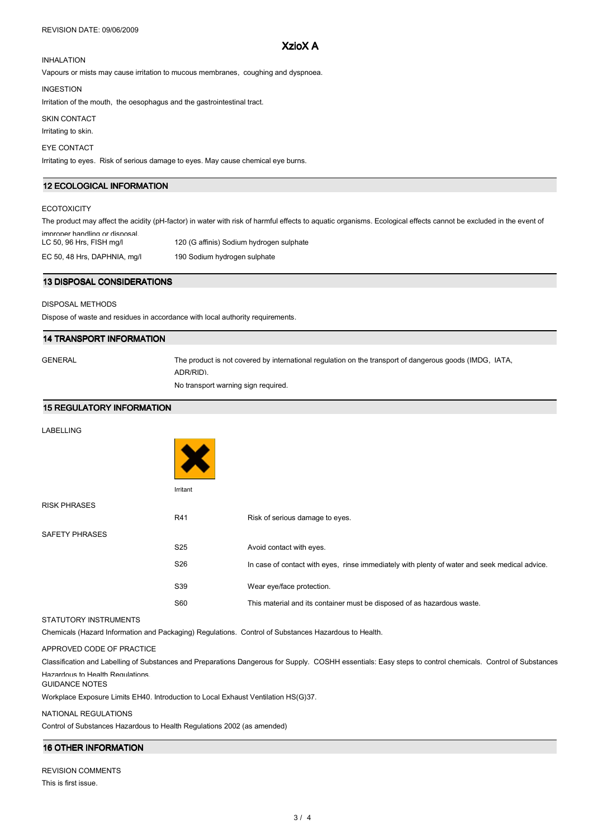# XzioX A

# INHALATION

Vapours or mists may cause irritation to mucous membranes, coughing and dyspnoea.

#### INGESTION

Irritation of the mouth, the oesophagus and the gastrointestinal tract.

SKIN CONTACT

## Irritating to skin.

## EYE CONTACT

Irritating to eyes. Risk of serious damage to eyes. May cause chemical eye burns.

## 12 ECOLOGICAL INFORMATION

### **ECOTOXICITY**

The product may affect the acidity (pH-factor) in water with risk of harmful effects to aquatic organisms. Ecological effects cannot be excluded in the event of improper handling or disposal.<br>LC 50, 96 Hrs, FISH mg/l 120 (G affinis) Sodium hydrogen sulphate EC 50, 48 Hrs, DAPHNIA, mg/l 190 Sodium hydrogen sulphate

### 13 DISPOSAL CONSIDERATIONS

## DISPOSAL METHODS

Dispose of waste and residues in accordance with local authority requirements.

#### 14 TRANSPORT INFORMATION

GENERAL The product is not covered by international regulation on the transport of dangerous goods (IMDG, IATA, ADR/RID). No transport warning sign required.

# 15 REGULATORY INFORMATION

### LABELLING



Irritant

RISK PHRASES

R41 Risk of serious damage to eyes. SAFETY PHRASES S25 Avoid contact with eyes. S26 In case of contact with eyes, rinse immediately with plenty of water and seek medical advice. S39 Wear eye/face protection. S60 This material and its container must be disposed of as hazardous waste.

#### STATUTORY INSTRUMENTS

Chemicals (Hazard Information and Packaging) Regulations. Control of Substances Hazardous to Health.

## APPROVED CODE OF PRACTICE

Classification and Labelling of Substances and Preparations Dangerous for Supply. COSHH essentials: Easy steps to control chemicals. Control of Substances Hazardous to Health Regulations.

### GUIDANCE NOTES

Workplace Exposure Limits EH40. Introduction to Local Exhaust Ventilation HS(G)37.

### NATIONAL REGULATIONS

Control of Substances Hazardous to Health Regulations 2002 (as amended)

## 16 OTHER INFORMATION

| <b>REVISION COMMENTS</b> |  |
|--------------------------|--|
| This is first issue.     |  |